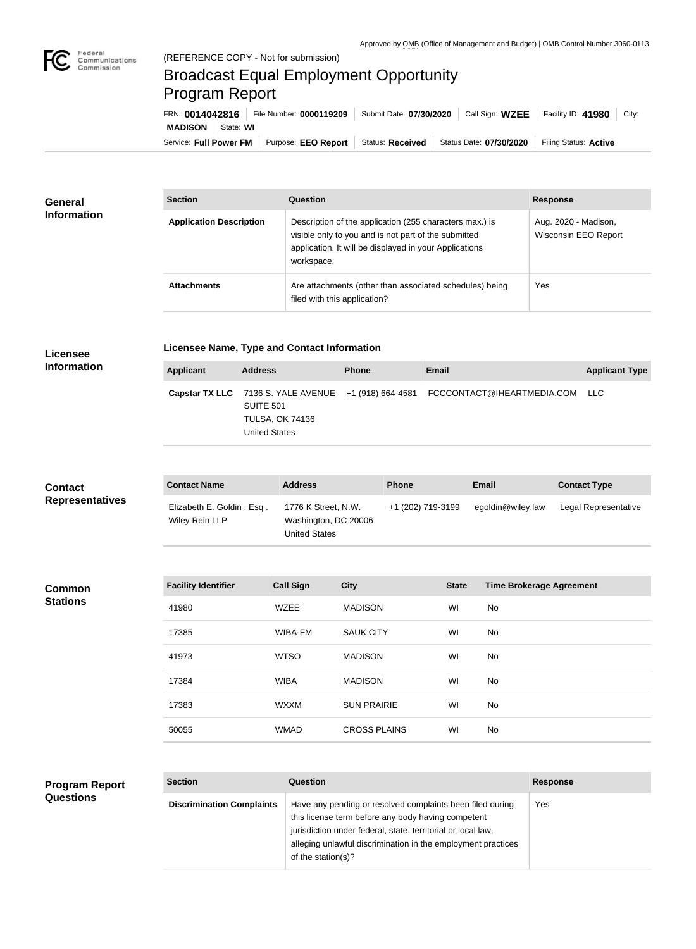

## Broadcast Equal Employment Opportunity Program Report

| FRN: 0014042816 |           | File Number: 0000119209                      | Submit Date: 07/30/2020 |                         | Call Sign: $WZEE$ Facility ID: 41980 | City: |
|-----------------|-----------|----------------------------------------------|-------------------------|-------------------------|--------------------------------------|-------|
| <b>MADISON</b>  | State: WI |                                              |                         |                         |                                      |       |
|                 |           | Service: Full Power FM   Purpose: EEO Report | Status: Received        | Status Date: 07/30/2020 | Filing Status: Active                |       |

| <b>General</b>     | <b>Section</b>                 | Question                                                                                                                                                                                | <b>Response</b>                              |  |
|--------------------|--------------------------------|-----------------------------------------------------------------------------------------------------------------------------------------------------------------------------------------|----------------------------------------------|--|
| <b>Information</b> | <b>Application Description</b> | Description of the application (255 characters max.) is<br>visible only to you and is not part of the submitted<br>application. It will be displayed in your Applications<br>workspace. | Aug. 2020 - Madison,<br>Wisconsin EEO Report |  |
|                    | <b>Attachments</b>             | Are attachments (other than associated schedules) being<br>filed with this application?                                                                                                 | Yes                                          |  |

## **Licensee Information**

## **Licensee Name, Type and Contact Information**

| Applicant | <b>Address</b>                                              | <b>Phone</b> | Email                                                                               | <b>Applicant Type</b> |
|-----------|-------------------------------------------------------------|--------------|-------------------------------------------------------------------------------------|-----------------------|
|           | SUITE 501<br><b>TULSA, OK 74136</b><br><b>United States</b> |              | Capstar TX LLC 7136 S. YALE AVENUE +1 (918) 664-4581 FCCCONTACT@IHEARTMEDIA.COM LLC |                       |

| <b>Contact</b>         | <b>Contact Name</b>                         | <b>Address</b>                                                      |                     | <b>Phone</b>      |              | Email                           | <b>Contact Type</b>  |
|------------------------|---------------------------------------------|---------------------------------------------------------------------|---------------------|-------------------|--------------|---------------------------------|----------------------|
| <b>Representatives</b> | Elizabeth E. Goldin, Esq.<br>Wiley Rein LLP | 1776 K Street, N.W.<br>Washington, DC 20006<br><b>United States</b> |                     | +1 (202) 719-3199 |              | egoldin@wiley.law               | Legal Representative |
|                        |                                             |                                                                     |                     |                   |              |                                 |                      |
| <b>Common</b>          | <b>Facility Identifier</b>                  | <b>Call Sign</b>                                                    | <b>City</b>         |                   | <b>State</b> | <b>Time Brokerage Agreement</b> |                      |
| <b>Stations</b>        | 41980                                       | <b>WZEE</b>                                                         | <b>MADISON</b>      |                   | WI           | No                              |                      |
|                        | 17385                                       | WIBA-FM                                                             | <b>SAUK CITY</b>    |                   | WI           | No                              |                      |
|                        | 41973                                       | <b>WTSO</b>                                                         | <b>MADISON</b>      |                   | WI           | No                              |                      |
|                        | 17384                                       | <b>WIBA</b>                                                         | <b>MADISON</b>      |                   | WI           | No                              |                      |
|                        | 17383                                       | <b>WXXM</b>                                                         | <b>SUN PRAIRIE</b>  |                   | WI           | No                              |                      |
|                        | 50055                                       | <b>WMAD</b>                                                         | <b>CROSS PLAINS</b> |                   | WI           | No                              |                      |
|                        |                                             |                                                                     |                     |                   |              |                                 |                      |
|                        |                                             |                                                                     |                     |                   |              |                                 |                      |

| <b>Program Report</b> | <b>Section</b>                   | Question                                                                                                                                                                                                                                        | <b>Response</b> |
|-----------------------|----------------------------------|-------------------------------------------------------------------------------------------------------------------------------------------------------------------------------------------------------------------------------------------------|-----------------|
| <b>Questions</b>      | <b>Discrimination Complaints</b> | Have any pending or resolved complaints been filed during<br>this license term before any body having competent<br>jurisdiction under federal, state, territorial or local law,<br>alleging unlawful discrimination in the employment practices | Yes             |
|                       |                                  | of the station(s)?                                                                                                                                                                                                                              |                 |